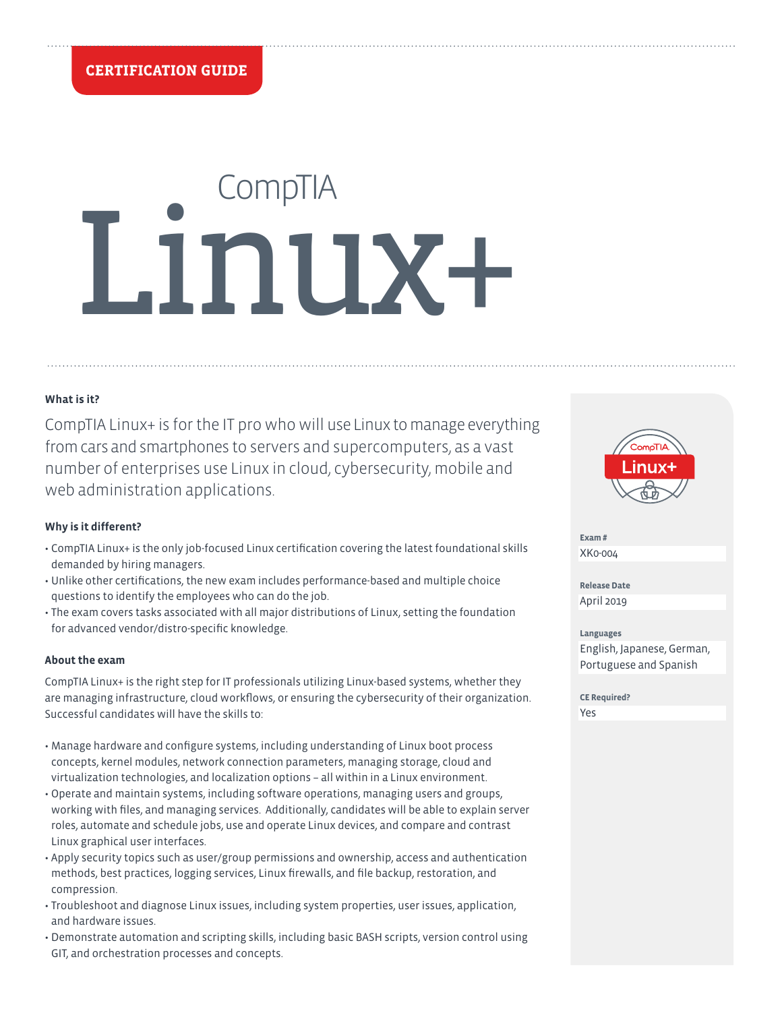# **CompTIA** Linux+

# **What is it?**

CompTIA Linux+ is for the IT pro who will use Linux to manage everything from cars and smartphones to servers and supercomputers, as a vast number of enterprises use Linux in cloud, cybersecurity, mobile and web administration applications.

# **Why is it different?**

- CompTIA Linux+ is the only job-focused Linux certification covering the latest foundational skills demanded by hiring managers.
- Unlike other certifications, the new exam includes performance-based and multiple choice questions to identify the employees who can do the job.
- The exam covers tasks associated with all major distributions of Linux, setting the foundation for advanced vendor/distro-specific knowledge.

#### **About the exam**

CompTIA Linux+ is the right step for IT professionals utilizing Linux-based systems, whether they are managing infrastructure, cloud workflows, or ensuring the cybersecurity of their organization. Successful candidates will have the skills to:

- Manage hardware and configure systems, including understanding of Linux boot process concepts, kernel modules, network connection parameters, managing storage, cloud and virtualization technologies, and localization options – all within in a Linux environment.
- Operate and maintain systems, including software operations, managing users and groups, working with files, and managing services. Additionally, candidates will be able to explain server roles, automate and schedule jobs, use and operate Linux devices, and compare and contrast Linux graphical user interfaces.
- Apply security topics such as user/group permissions and ownership, access and authentication methods, best practices, logging services, Linux firewalls, and file backup, restoration, and compression.
- Troubleshoot and diagnose Linux issues, including system properties, user issues, application, and hardware issues.
- Demonstrate automation and scripting skills, including basic BASH scripts, version control using GIT, and orchestration processes and concepts.



**Exam #** XK0-004

**Release Date** April 2019

**Languages** English, Japanese, German, Portuguese and Spanish

**CE Required?** Yes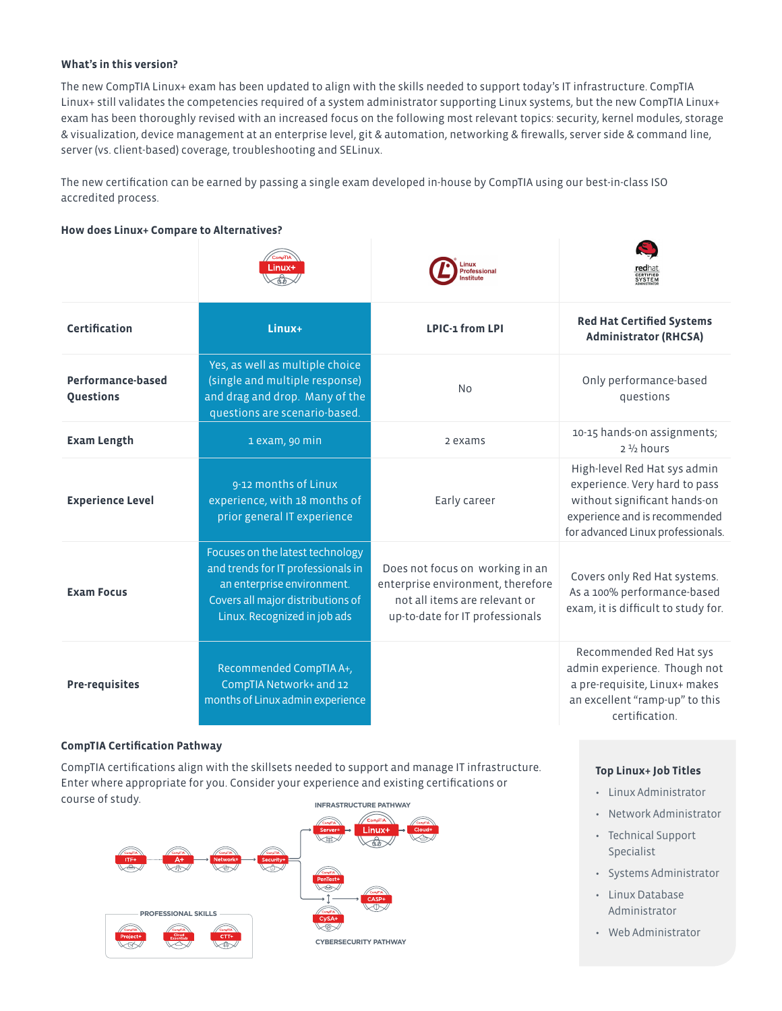### **What's in this version?**

The new CompTIA Linux+ exam has been updated to align with the skills needed to support today's IT infrastructure. CompTIA Linux+ still validates the competencies required of a system administrator supporting Linux systems, but the new CompTIA Linux+ exam has been thoroughly revised with an increased focus on the following most relevant topics: security, kernel modules, storage & visualization, device management at an enterprise level, git & automation, networking & firewalls, server side & command line, server (vs. client-based) coverage, troubleshooting and SELinux.

The new certification can be earned by passing a single exam developed in-house by CompTIA using our best-in-class ISO accredited process.

#### **How does Linux+ Compare to Alternatives?**

|                                | Linux+                                                                                                                                                                    | rofessional                                                                                                                              | <b>ed</b> hat<br>ERTIFIED<br>SYSTEM                                                                                                                                 |
|--------------------------------|---------------------------------------------------------------------------------------------------------------------------------------------------------------------------|------------------------------------------------------------------------------------------------------------------------------------------|---------------------------------------------------------------------------------------------------------------------------------------------------------------------|
| <b>Certification</b>           | Linux+                                                                                                                                                                    | <b>LPIC-1 from LPI</b>                                                                                                                   | <b>Red Hat Certified Systems</b><br><b>Administrator (RHCSA)</b>                                                                                                    |
| Performance-based<br>Questions | Yes, as well as multiple choice<br>(single and multiple response)<br>and drag and drop. Many of the<br>questions are scenario-based.                                      | <b>No</b>                                                                                                                                | Only performance-based<br>questions                                                                                                                                 |
| <b>Exam Length</b>             | 1 exam, 90 min                                                                                                                                                            | 2 exams                                                                                                                                  | 10-15 hands-on assignments;<br>$2\frac{1}{2}$ hours                                                                                                                 |
| <b>Experience Level</b>        | 9-12 months of Linux<br>experience, with 18 months of<br>prior general IT experience                                                                                      | Early career                                                                                                                             | High-level Red Hat sys admin<br>experience. Very hard to pass<br>without significant hands-on<br>experience and is recommended<br>for advanced Linux professionals. |
| <b>Exam Focus</b>              | Focuses on the latest technology<br>and trends for IT professionals in<br>an enterprise environment.<br>Covers all major distributions of<br>Linux. Recognized in job ads | Does not focus on working in an<br>enterprise environment, therefore<br>not all items are relevant or<br>up-to-date for IT professionals | Covers only Red Hat systems.<br>As a 100% performance-based<br>exam, it is difficult to study for.                                                                  |
| <b>Pre-requisites</b>          | Recommended CompTIA A+,<br>CompTIA Network+ and 12<br>months of Linux admin experience                                                                                    |                                                                                                                                          | Recommended Red Hat sys<br>admin experience. Though not<br>a pre-requisite, Linux+ makes<br>an excellent "ramp-up" to this<br>certification.                        |

#### **CompTIA Certification Pathway**

**INFRASTRUCTURE PATHWAY** CompTIA certifications align with the skillsets needed to support and manage IT infrastructure. Enter where appropriate for you. Consider your experience and existing certifications or course of study.



#### **Top Linux+ Job Titles**

- Linux Administrator
- Network Administrator
- Technical Support Specialist
- Systems Administrator
- Linux Database Administrator
- Web Administrator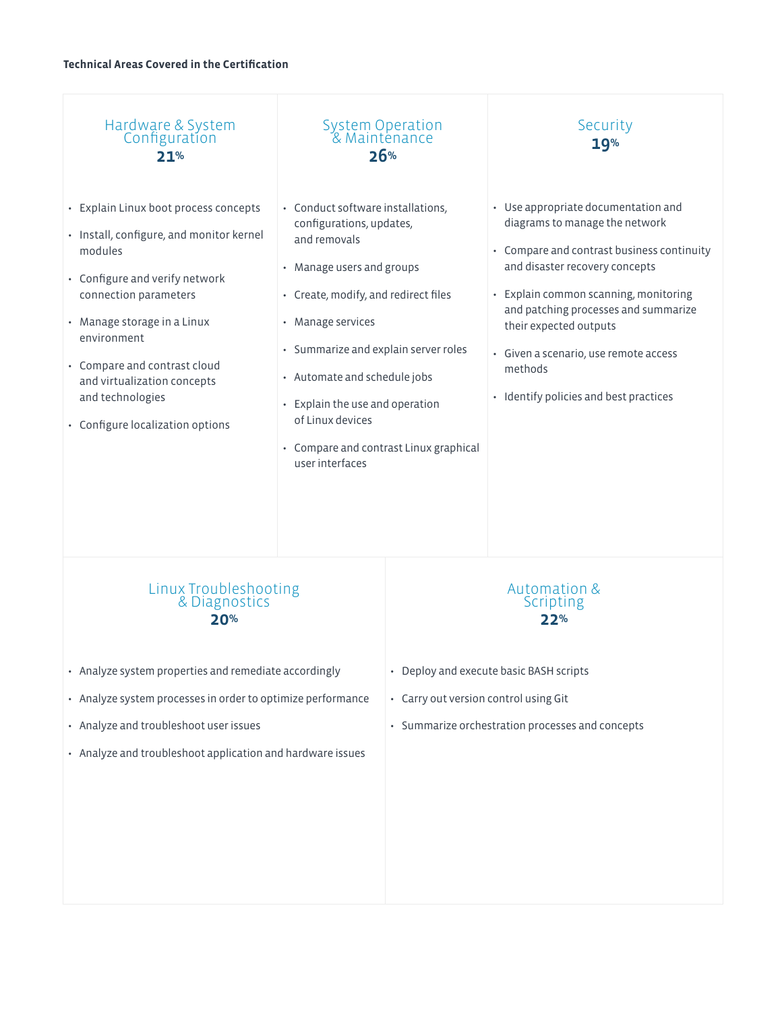#### **Technical Areas Covered in the Certification**